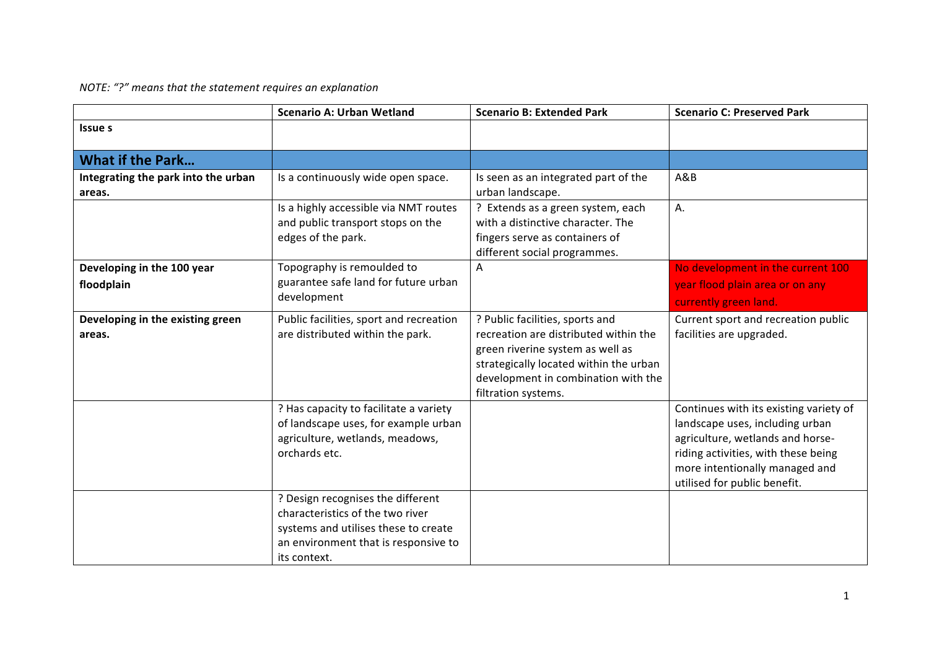*NOTE: "?"* means that the statement requires an explanation

|                                               | <b>Scenario A: Urban Wetland</b>                                                                                                                                      | <b>Scenario B: Extended Park</b>                                                                                                                                                                                     | <b>Scenario C: Preserved Park</b>                                                                                                                                                                                      |
|-----------------------------------------------|-----------------------------------------------------------------------------------------------------------------------------------------------------------------------|----------------------------------------------------------------------------------------------------------------------------------------------------------------------------------------------------------------------|------------------------------------------------------------------------------------------------------------------------------------------------------------------------------------------------------------------------|
| <b>Issue s</b>                                |                                                                                                                                                                       |                                                                                                                                                                                                                      |                                                                                                                                                                                                                        |
| <b>What if the Park</b>                       |                                                                                                                                                                       |                                                                                                                                                                                                                      |                                                                                                                                                                                                                        |
| Integrating the park into the urban<br>areas. | Is a continuously wide open space.                                                                                                                                    | Is seen as an integrated part of the<br>urban landscape.                                                                                                                                                             | A&B                                                                                                                                                                                                                    |
|                                               | Is a highly accessible via NMT routes<br>and public transport stops on the<br>edges of the park.                                                                      | Extends as a green system, each<br>with a distinctive character. The<br>fingers serve as containers of<br>different social programmes.                                                                               | Α.                                                                                                                                                                                                                     |
| Developing in the 100 year<br>floodplain      | Topography is remoulded to<br>guarantee safe land for future urban<br>development                                                                                     | A                                                                                                                                                                                                                    | No development in the current 100<br>year flood plain area or on any<br>currently green land.                                                                                                                          |
| Developing in the existing green<br>areas.    | Public facilities, sport and recreation<br>are distributed within the park.                                                                                           | ? Public facilities, sports and<br>recreation are distributed within the<br>green riverine system as well as<br>strategically located within the urban<br>development in combination with the<br>filtration systems. | Current sport and recreation public<br>facilities are upgraded.                                                                                                                                                        |
|                                               | ? Has capacity to facilitate a variety<br>of landscape uses, for example urban<br>agriculture, wetlands, meadows,<br>orchards etc.                                    |                                                                                                                                                                                                                      | Continues with its existing variety of<br>landscape uses, including urban<br>agriculture, wetlands and horse-<br>riding activities, with these being<br>more intentionally managed and<br>utilised for public benefit. |
|                                               | ? Design recognises the different<br>characteristics of the two river<br>systems and utilises these to create<br>an environment that is responsive to<br>its context. |                                                                                                                                                                                                                      |                                                                                                                                                                                                                        |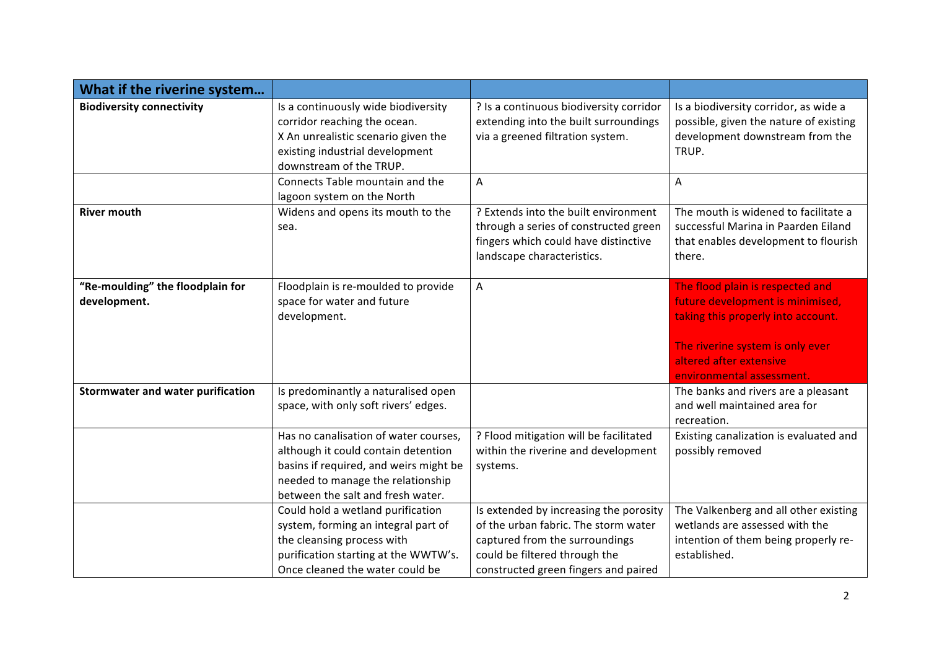| What if the riverine system                      |                                                                                                                                                                                                  |                                                                                                                                                                                           |                                                                                                                                                                                                        |
|--------------------------------------------------|--------------------------------------------------------------------------------------------------------------------------------------------------------------------------------------------------|-------------------------------------------------------------------------------------------------------------------------------------------------------------------------------------------|--------------------------------------------------------------------------------------------------------------------------------------------------------------------------------------------------------|
| <b>Biodiversity connectivity</b>                 | Is a continuously wide biodiversity<br>corridor reaching the ocean.<br>X An unrealistic scenario given the<br>existing industrial development<br>downstream of the TRUP.                         | ? Is a continuous biodiversity corridor<br>extending into the built surroundings<br>via a greened filtration system.                                                                      | Is a biodiversity corridor, as wide a<br>possible, given the nature of existing<br>development downstream from the<br>TRUP.                                                                            |
|                                                  | Connects Table mountain and the<br>lagoon system on the North                                                                                                                                    | A                                                                                                                                                                                         | A                                                                                                                                                                                                      |
| <b>River mouth</b>                               | Widens and opens its mouth to the<br>sea.                                                                                                                                                        | ? Extends into the built environment<br>through a series of constructed green<br>fingers which could have distinctive<br>landscape characteristics.                                       | The mouth is widened to facilitate a<br>successful Marina in Paarden Eiland<br>that enables development to flourish<br>there.                                                                          |
| "Re-moulding" the floodplain for<br>development. | Floodplain is re-moulded to provide<br>space for water and future<br>development.                                                                                                                | A                                                                                                                                                                                         | The flood plain is respected and<br>future development is minimised,<br>taking this properly into account.<br>The riverine system is only ever<br>altered after extensive<br>environmental assessment. |
| <b>Stormwater and water purification</b>         | Is predominantly a naturalised open<br>space, with only soft rivers' edges.                                                                                                                      |                                                                                                                                                                                           | The banks and rivers are a pleasant<br>and well maintained area for<br>recreation.                                                                                                                     |
|                                                  | Has no canalisation of water courses,<br>although it could contain detention<br>basins if required, and weirs might be<br>needed to manage the relationship<br>between the salt and fresh water. | ? Flood mitigation will be facilitated<br>within the riverine and development<br>systems.                                                                                                 | Existing canalization is evaluated and<br>possibly removed                                                                                                                                             |
|                                                  | Could hold a wetland purification<br>system, forming an integral part of<br>the cleansing process with<br>purification starting at the WWTW's.<br>Once cleaned the water could be                | Is extended by increasing the porosity<br>of the urban fabric. The storm water<br>captured from the surroundings<br>could be filtered through the<br>constructed green fingers and paired | The Valkenberg and all other existing<br>wetlands are assessed with the<br>intention of them being properly re-<br>established.                                                                        |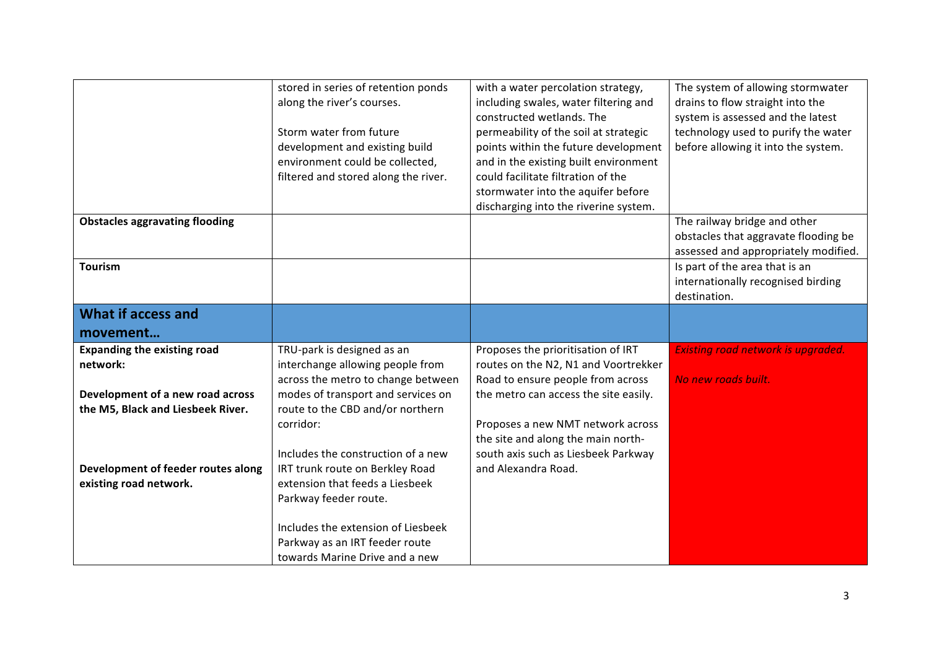|                                                              | stored in series of retention ponds<br>along the river's courses.<br>Storm water from future<br>development and existing build | with a water percolation strategy,<br>including swales, water filtering and<br>constructed wetlands. The<br>permeability of the soil at strategic<br>points within the future development | The system of allowing stormwater<br>drains to flow straight into the<br>system is assessed and the latest<br>technology used to purify the water<br>before allowing it into the system. |
|--------------------------------------------------------------|--------------------------------------------------------------------------------------------------------------------------------|-------------------------------------------------------------------------------------------------------------------------------------------------------------------------------------------|------------------------------------------------------------------------------------------------------------------------------------------------------------------------------------------|
|                                                              | environment could be collected,<br>filtered and stored along the river.                                                        | and in the existing built environment<br>could facilitate filtration of the                                                                                                               |                                                                                                                                                                                          |
|                                                              |                                                                                                                                | stormwater into the aquifer before<br>discharging into the riverine system.                                                                                                               |                                                                                                                                                                                          |
| <b>Obstacles aggravating flooding</b>                        |                                                                                                                                |                                                                                                                                                                                           | The railway bridge and other<br>obstacles that aggravate flooding be<br>assessed and appropriately modified.                                                                             |
| <b>Tourism</b>                                               |                                                                                                                                |                                                                                                                                                                                           | Is part of the area that is an<br>internationally recognised birding<br>destination.                                                                                                     |
| <b>What if access and</b>                                    |                                                                                                                                |                                                                                                                                                                                           |                                                                                                                                                                                          |
| movement                                                     |                                                                                                                                |                                                                                                                                                                                           |                                                                                                                                                                                          |
| <b>Expanding the existing road</b><br>network:               | TRU-park is designed as an<br>interchange allowing people from<br>across the metro to change between                           | Proposes the prioritisation of IRT<br>routes on the N2, N1 and Voortrekker<br>Road to ensure people from across                                                                           | Existing road network is upgraded.<br>No new roads built.                                                                                                                                |
| Development of a new road across                             | modes of transport and services on                                                                                             | the metro can access the site easily.                                                                                                                                                     |                                                                                                                                                                                          |
| the M5, Black and Liesbeek River.                            | route to the CBD and/or northern<br>corridor:                                                                                  | Proposes a new NMT network across<br>the site and along the main north-                                                                                                                   |                                                                                                                                                                                          |
|                                                              | Includes the construction of a new                                                                                             | south axis such as Liesbeek Parkway                                                                                                                                                       |                                                                                                                                                                                          |
| Development of feeder routes along<br>existing road network. | IRT trunk route on Berkley Road<br>extension that feeds a Liesbeek                                                             | and Alexandra Road.                                                                                                                                                                       |                                                                                                                                                                                          |
|                                                              | Parkway feeder route.                                                                                                          |                                                                                                                                                                                           |                                                                                                                                                                                          |
|                                                              |                                                                                                                                |                                                                                                                                                                                           |                                                                                                                                                                                          |
|                                                              | Includes the extension of Liesbeek                                                                                             |                                                                                                                                                                                           |                                                                                                                                                                                          |
|                                                              | Parkway as an IRT feeder route                                                                                                 |                                                                                                                                                                                           |                                                                                                                                                                                          |
|                                                              | towards Marine Drive and a new                                                                                                 |                                                                                                                                                                                           |                                                                                                                                                                                          |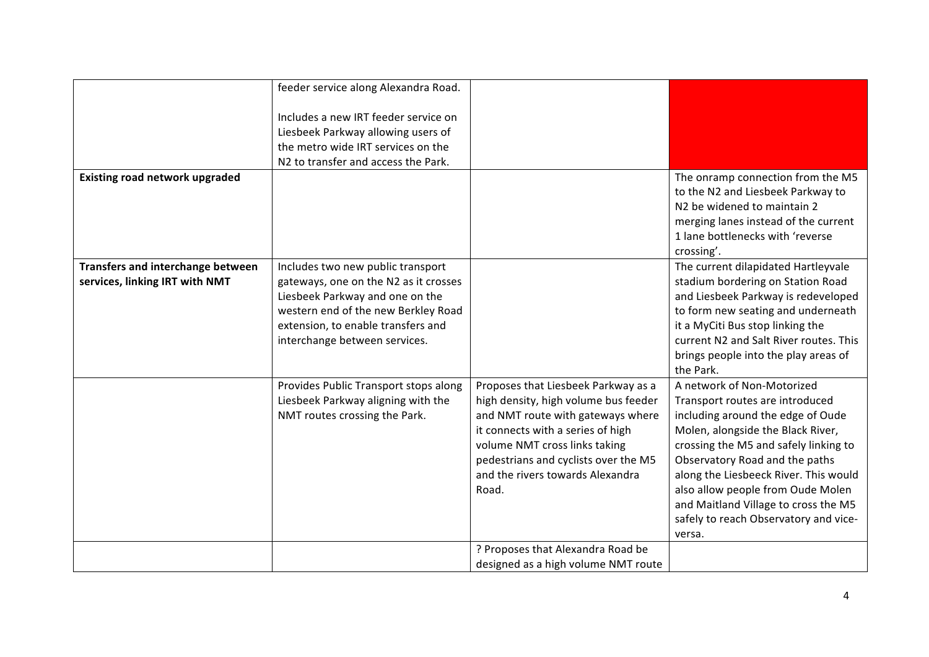|                                       | feeder service along Alexandra Road.  |                                      |                                        |
|---------------------------------------|---------------------------------------|--------------------------------------|----------------------------------------|
|                                       |                                       |                                      |                                        |
|                                       | Includes a new IRT feeder service on  |                                      |                                        |
|                                       | Liesbeek Parkway allowing users of    |                                      |                                        |
|                                       | the metro wide IRT services on the    |                                      |                                        |
|                                       | N2 to transfer and access the Park.   |                                      |                                        |
| <b>Existing road network upgraded</b> |                                       |                                      | The onramp connection from the M5      |
|                                       |                                       |                                      | to the N2 and Liesbeek Parkway to      |
|                                       |                                       |                                      | N2 be widened to maintain 2            |
|                                       |                                       |                                      |                                        |
|                                       |                                       |                                      | merging lanes instead of the current   |
|                                       |                                       |                                      | 1 lane bottlenecks with 'reverse       |
|                                       |                                       |                                      | crossing'.                             |
| Transfers and interchange between     | Includes two new public transport     |                                      | The current dilapidated Hartleyvale    |
| services, linking IRT with NMT        | gateways, one on the N2 as it crosses |                                      | stadium bordering on Station Road      |
|                                       | Liesbeek Parkway and one on the       |                                      | and Liesbeek Parkway is redeveloped    |
|                                       | western end of the new Berkley Road   |                                      | to form new seating and underneath     |
|                                       | extension, to enable transfers and    |                                      | it a MyCiti Bus stop linking the       |
|                                       | interchange between services.         |                                      | current N2 and Salt River routes. This |
|                                       |                                       |                                      | brings people into the play areas of   |
|                                       |                                       |                                      | the Park.                              |
|                                       | Provides Public Transport stops along | Proposes that Liesbeek Parkway as a  | A network of Non-Motorized             |
|                                       | Liesbeek Parkway aligning with the    | high density, high volume bus feeder | Transport routes are introduced        |
|                                       | NMT routes crossing the Park.         | and NMT route with gateways where    | including around the edge of Oude      |
|                                       |                                       | it connects with a series of high    | Molen, alongside the Black River,      |
|                                       |                                       | volume NMT cross links taking        | crossing the M5 and safely linking to  |
|                                       |                                       | pedestrians and cyclists over the M5 | Observatory Road and the paths         |
|                                       |                                       | and the rivers towards Alexandra     | along the Liesbeeck River. This would  |
|                                       |                                       | Road.                                | also allow people from Oude Molen      |
|                                       |                                       |                                      | and Maitland Village to cross the M5   |
|                                       |                                       |                                      | safely to reach Observatory and vice-  |
|                                       |                                       |                                      | versa.                                 |
|                                       |                                       | ? Proposes that Alexandra Road be    |                                        |
|                                       |                                       | designed as a high volume NMT route  |                                        |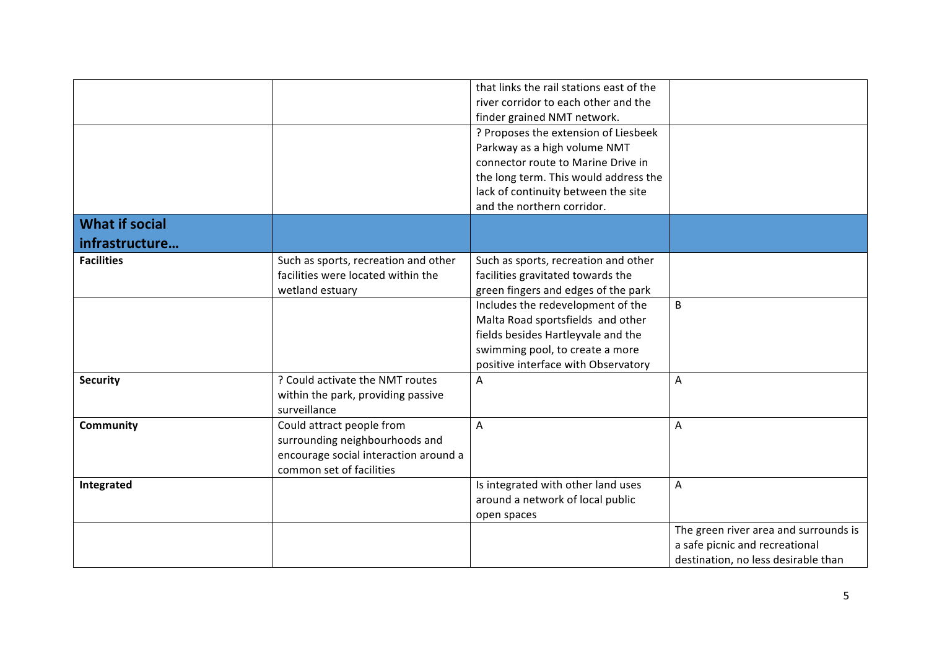|                       |                                       | that links the rail stations east of the |                                       |
|-----------------------|---------------------------------------|------------------------------------------|---------------------------------------|
|                       |                                       | river corridor to each other and the     |                                       |
|                       |                                       | finder grained NMT network.              |                                       |
|                       |                                       | ? Proposes the extension of Liesbeek     |                                       |
|                       |                                       | Parkway as a high volume NMT             |                                       |
|                       |                                       | connector route to Marine Drive in       |                                       |
|                       |                                       | the long term. This would address the    |                                       |
|                       |                                       | lack of continuity between the site      |                                       |
|                       |                                       | and the northern corridor.               |                                       |
| <b>What if social</b> |                                       |                                          |                                       |
| infrastructure        |                                       |                                          |                                       |
| <b>Facilities</b>     | Such as sports, recreation and other  | Such as sports, recreation and other     |                                       |
|                       | facilities were located within the    | facilities gravitated towards the        |                                       |
|                       | wetland estuary                       | green fingers and edges of the park      |                                       |
|                       |                                       | Includes the redevelopment of the        | B                                     |
|                       |                                       | Malta Road sportsfields and other        |                                       |
|                       |                                       | fields besides Hartleyvale and the       |                                       |
|                       |                                       | swimming pool, to create a more          |                                       |
|                       |                                       | positive interface with Observatory      |                                       |
| <b>Security</b>       | ? Could activate the NMT routes       | A                                        | A                                     |
|                       | within the park, providing passive    |                                          |                                       |
|                       | surveillance                          |                                          |                                       |
| Community             | Could attract people from             | A                                        | A                                     |
|                       | surrounding neighbourhoods and        |                                          |                                       |
|                       | encourage social interaction around a |                                          |                                       |
|                       | common set of facilities              |                                          |                                       |
| Integrated            |                                       | Is integrated with other land uses       | A                                     |
|                       |                                       | around a network of local public         |                                       |
|                       |                                       | open spaces                              |                                       |
|                       |                                       |                                          | The green river area and surrounds is |
|                       |                                       |                                          | a safe picnic and recreational        |
|                       |                                       |                                          | destination, no less desirable than   |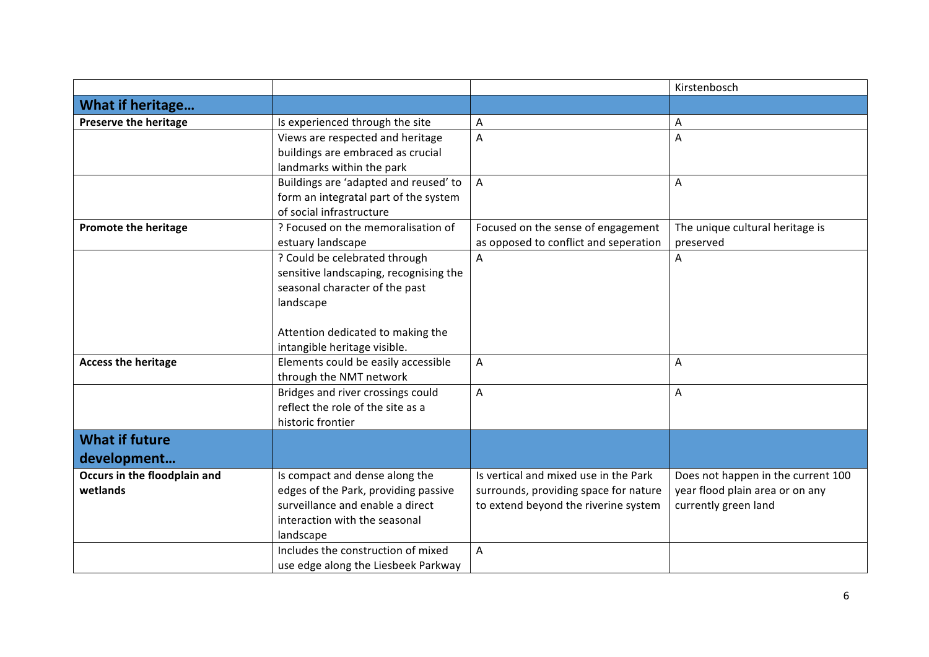|                              |                                        |                                       | Kirstenbosch                       |
|------------------------------|----------------------------------------|---------------------------------------|------------------------------------|
| What if heritage             |                                        |                                       |                                    |
| <b>Preserve the heritage</b> | Is experienced through the site        | A                                     | A                                  |
|                              | Views are respected and heritage       | A                                     | A                                  |
|                              | buildings are embraced as crucial      |                                       |                                    |
|                              | landmarks within the park              |                                       |                                    |
|                              | Buildings are 'adapted and reused' to  | $\overline{\mathsf{A}}$               | Α                                  |
|                              | form an integratal part of the system  |                                       |                                    |
|                              | of social infrastructure               |                                       |                                    |
| Promote the heritage         | ? Focused on the memoralisation of     | Focused on the sense of engagement    | The unique cultural heritage is    |
|                              | estuary landscape                      | as opposed to conflict and seperation | preserved                          |
|                              | ? Could be celebrated through          | A                                     | A                                  |
|                              | sensitive landscaping, recognising the |                                       |                                    |
|                              | seasonal character of the past         |                                       |                                    |
|                              | landscape                              |                                       |                                    |
|                              |                                        |                                       |                                    |
|                              | Attention dedicated to making the      |                                       |                                    |
|                              | intangible heritage visible.           |                                       |                                    |
| <b>Access the heritage</b>   | Elements could be easily accessible    | A                                     | A                                  |
|                              | through the NMT network                |                                       |                                    |
|                              | Bridges and river crossings could      | A                                     | A                                  |
|                              | reflect the role of the site as a      |                                       |                                    |
|                              | historic frontier                      |                                       |                                    |
| <b>What if future</b>        |                                        |                                       |                                    |
| development                  |                                        |                                       |                                    |
| Occurs in the floodplain and | Is compact and dense along the         | Is vertical and mixed use in the Park | Does not happen in the current 100 |
| wetlands                     | edges of the Park, providing passive   | surrounds, providing space for nature | year flood plain area or on any    |
|                              | surveillance and enable a direct       | to extend beyond the riverine system  | currently green land               |
|                              | interaction with the seasonal          |                                       |                                    |
|                              | landscape                              |                                       |                                    |
|                              | Includes the construction of mixed     | $\overline{A}$                        |                                    |
|                              | use edge along the Liesbeek Parkway    |                                       |                                    |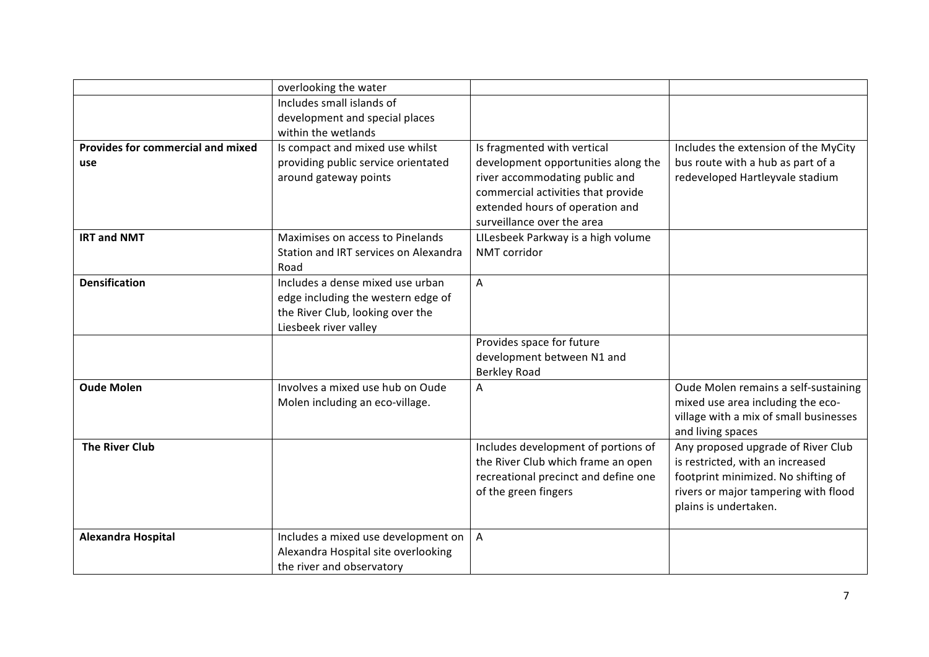|                                          | overlooking the water                 |                                      |                                        |
|------------------------------------------|---------------------------------------|--------------------------------------|----------------------------------------|
|                                          | Includes small islands of             |                                      |                                        |
|                                          | development and special places        |                                      |                                        |
|                                          | within the wetlands                   |                                      |                                        |
| <b>Provides for commercial and mixed</b> | Is compact and mixed use whilst       | Is fragmented with vertical          | Includes the extension of the MyCity   |
| use                                      | providing public service orientated   | development opportunities along the  | bus route with a hub as part of a      |
|                                          | around gateway points                 | river accommodating public and       | redeveloped Hartleyvale stadium        |
|                                          |                                       | commercial activities that provide   |                                        |
|                                          |                                       | extended hours of operation and      |                                        |
|                                          |                                       | surveillance over the area           |                                        |
| <b>IRT and NMT</b>                       | Maximises on access to Pinelands      | LILesbeek Parkway is a high volume   |                                        |
|                                          | Station and IRT services on Alexandra | NMT corridor                         |                                        |
|                                          | Road                                  |                                      |                                        |
| <b>Densification</b>                     | Includes a dense mixed use urban      | A                                    |                                        |
|                                          | edge including the western edge of    |                                      |                                        |
|                                          | the River Club, looking over the      |                                      |                                        |
|                                          | Liesbeek river valley                 |                                      |                                        |
|                                          |                                       | Provides space for future            |                                        |
|                                          |                                       | development between N1 and           |                                        |
|                                          |                                       | <b>Berkley Road</b>                  |                                        |
| <b>Oude Molen</b>                        | Involves a mixed use hub on Oude      | A                                    | Oude Molen remains a self-sustaining   |
|                                          | Molen including an eco-village.       |                                      | mixed use area including the eco-      |
|                                          |                                       |                                      | village with a mix of small businesses |
|                                          |                                       |                                      | and living spaces                      |
| <b>The River Club</b>                    |                                       | Includes development of portions of  | Any proposed upgrade of River Club     |
|                                          |                                       | the River Club which frame an open   | is restricted, with an increased       |
|                                          |                                       | recreational precinct and define one | footprint minimized. No shifting of    |
|                                          |                                       | of the green fingers                 | rivers or major tampering with flood   |
|                                          |                                       |                                      | plains is undertaken.                  |
|                                          |                                       |                                      |                                        |
| Alexandra Hospital                       | Includes a mixed use development on   | $\overline{A}$                       |                                        |
|                                          | Alexandra Hospital site overlooking   |                                      |                                        |
|                                          | the river and observatory             |                                      |                                        |